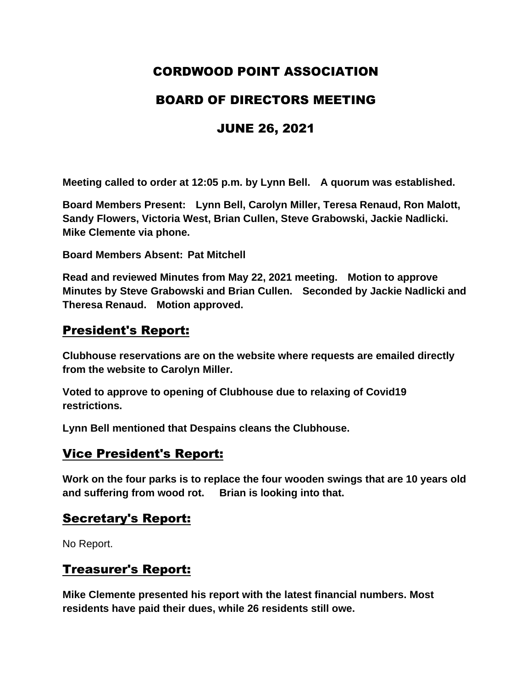# CORDWOOD POINT ASSOCIATION

## BOARD OF DIRECTORS MEETING

# JUNE 26, 2021

**Meeting called to order at 12:05 p.m. by Lynn Bell. A quorum was established.**

**Board Members Present: Lynn Bell, Carolyn Miller, Teresa Renaud, Ron Malott, Sandy Flowers, Victoria West, Brian Cullen, Steve Grabowski, Jackie Nadlicki. Mike Clemente via phone.** 

**Board Members Absent: Pat Mitchell**

**Read and reviewed Minutes from May 22, 2021 meeting. Motion to approve Minutes by Steve Grabowski and Brian Cullen. Seconded by Jackie Nadlicki and Theresa Renaud. Motion approved.** 

### President's Report:

**Clubhouse reservations are on the website where requests are emailed directly from the website to Carolyn Miller.** 

**Voted to approve to opening of Clubhouse due to relaxing of Covid19 restrictions.** 

**Lynn Bell mentioned that Despains cleans the Clubhouse.** 

### Vice President's Report:

**Work on the four parks is to replace the four wooden swings that are 10 years old and suffering from wood rot. Brian is looking into that.**

#### Secretary's Report:

No Report.

### Treasurer's Report:

**Mike Clemente presented his report with the latest financial numbers. Most residents have paid their dues, while 26 residents still owe.**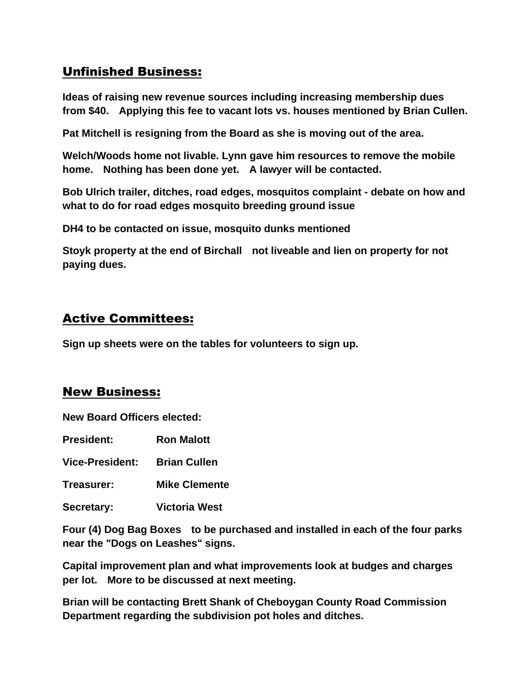# Unfinished Business:

**Ideas of raising new revenue sources including increasing membership dues from \$40. Applying this fee to vacant lots vs. houses mentioned by Brian Cullen.** 

**Pat Mitchell is resigning from the Board as she is moving out of the area.**

**Welch/Woods home not livable. Lynn gave him resources to remove the mobile home. Nothing has been done yet. A lawyer will be contacted.**

**Bob Ulrich trailer, ditches, road edges, mosquitos complaint - debate on how and what to do for road edges mosquito breeding ground issue** 

**DH4 to be contacted on issue, mosquito dunks mentioned**

**Stoyk property at the end of Birchall not liveable and lien on property for not paying dues.**

### Active Committees:

**Sign up sheets were on the tables for volunteers to sign up.**

#### New Business:

**New Board Officers elected:**

**President: Ron Malott**

**Vice-President: Brian Cullen**

- **Treasurer: Mike Clemente**
- **Secretary: Victoria West**

**Four (4) Dog Bag Boxes to be purchased and installed in each of the four parks near the "Dogs on Leashes" signs.**

**Capital improvement plan and what improvements look at budges and charges per lot. More to be discussed at next meeting.** 

**Brian will be contacting Brett Shank of Cheboygan County Road Commission Department regarding the subdivision pot holes and ditches.**